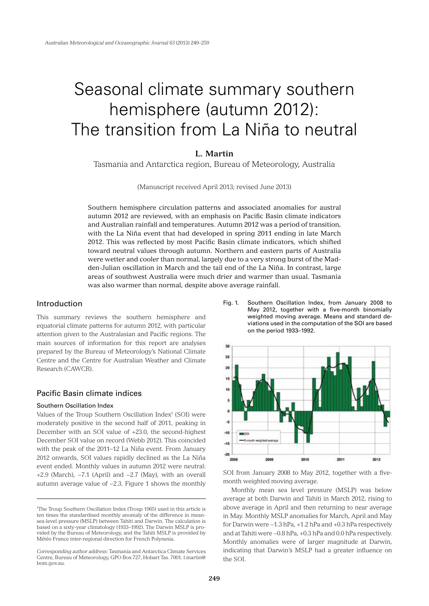# Seasonal climate summary southern hemisphere (autumn 2012): The transition from La Niña to neutral

# **L. Martin**

Tasmania and Antarctica region, Bureau of Meteorology, Australia

(Manuscript received April 2013; revised June 2013)

Southern hemisphere circulation patterns and associated anomalies for austral autumn 2012 are reviewed, with an emphasis on Pacific Basin climate indicators and Australian rainfall and temperatures. Autumn 2012 was a period of transition, with the La Niña event that had developed in spring 2011 ending in late March 2012. This was reflected by most Pacific Basin climate indicators, which shifted toward neutral values through autumn. Northern and eastern parts of Australia were wetter and cooler than normal, largely due to a very strong burst of the Madden-Julian oscillation in March and the tail end of the La Niña. In contrast, large areas of southwest Australia were much drier and warmer than usual. Tasmania was also warmer than normal, despite above average rainfall.

# Introduction

This summary reviews the southern hemisphere and equatorial climate patterns for autumn 2012, with particular attention given to the Australasian and Pacific regions. The main sources of information for this report are analyses prepared by the Bureau of Meteorology's National Climate Centre and the Centre for Australian Weather and Climate Research (CAWCR).

# Pacific Basin climate indices

## Southern Oscillation Index

Values of the Troup Southern Oscillation Index<sup>1</sup> (SOI) were moderately positive in the second half of 2011, peaking in December with an SOI value of +23.0, the second-highest December SOI value on record (Webb 2012). This coincided with the peak of the 2011–12 La Niña event. From January 2012 onwards, SOI values rapidly declined as the La Niña event ended. Monthly values in autumn 2012 were neutral: +2.9 (March), −7.1 (April) and −2.7 (May), with an overall autumn average value of −2.3. Figure 1 shows the monthly

Fig. 1. Southern Oscillation Index, from January 2008 to May 2012, together with a five-month binomially weighted moving average. Means and standard deviations used in the computation of the SOI are based on the period 1933–1992.



SOI from January 2008 to May 2012, together with a fivemonth weighted moving average.

Monthly mean sea level pressure (MSLP) was below average at both Darwin and Tahiti in March 2012, rising to above average in April and then returning to near average in May. Monthly MSLP anomalies for March, April and May for Darwin were −1.3 hPa, +1.2 hPa and +0.3 hPa respectively and at Tahiti were −0.8 hPa, +0.3 hPa and 0.0 hPa respectively. Monthly anomalies were of larger magnitude at Darwin, indicating that Darwin's MSLP had a greater influence on the SOI.

<sup>1</sup> The Troup Southern Oscillation Index (Troup 1965) used in this article is ten times the standardised monthly anomaly of the difference in meansea-level pressure (MSLP) between Tahiti and Darwin. The calculation is based on a sixty-year climatology (1933–1992). The Darwin MSLP is provided by the Bureau of Meteorology, and the Tahiti MSLP is provided by Météo France inter-regional direction for French Polynesia.

*Corresponding author address:* Tasmania and Antarctica Climate Services Centre, Bureau of Meteorology, GPO Box 727, Hobart Tas. 7001. l.martin@ bom.gov.au.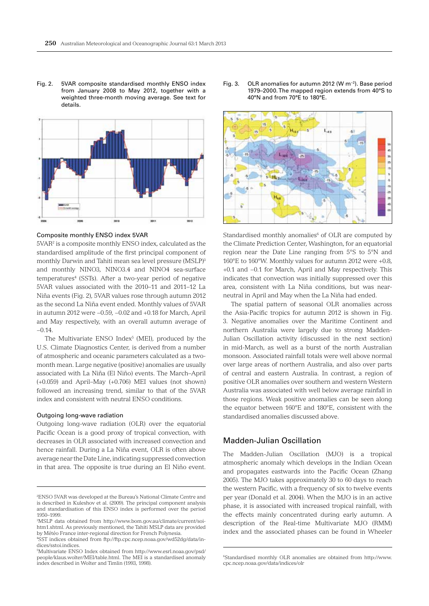Fig. 2. 5VAR composite standardised monthly ENSO index from January 2008 to May 2012, together with a weighted three-month moving average. See text for details.



Composite monthly ENSO index 5VAR

5VAR2 is a composite monthly ENSO index, calculated as the standardised amplitude of the first principal component of monthly Darwin and Tahiti mean sea level pressure (MSLP)3 and monthly NINO3, NINO3.4 and NINO4 sea-surface temperatures<sup>4</sup> (SSTs). After a two-year period of negative 5VAR values associated with the 2010–11 and 2011–12 La Niña events (Fig. 2), 5VAR values rose through autumn 2012 as the second La Niña event ended. Monthly values of 5VAR in autumn 2012 were −0.59, −0.02 and +0.18 for March, April and May respectively, with an overall autumn average of  $-0.14$ 

The Multivariate ENSO  $Index<sup>5</sup>$  (MEI), produced by the U.S. Climate Diagnostics Center, is derived from a number of atmospheric and oceanic parameters calculated as a twomonth mean. Large negative (positive) anomalies are usually associated with La Niña (El Niño) events. The March–April (+0.059) and April–May (+0.706) MEI values (not shown) followed an increasing trend, similar to that of the 5VAR index and consistent with neutral ENSO conditions.

#### Outgoing long-wave radiation

Outgoing long-wave radiation (OLR) over the equatorial Pacific Ocean is a good proxy of tropical convection, with decreases in OLR associated with increased convection and hence rainfall. During a La Niña event, OLR is often above average near the Date Line, indicating suppressed convection in that area. The opposite is true during an El Niño event.

Fig. 3. OLR anomalies for autumn 2012 (W m−2). Base period 1979–2000. The mapped region extends from 40°S to 40°N and from 70°E to 180°E.



Standardised monthly anomalies<sup>6</sup> of OLR are computed by the Climate Prediction Center, Washington, for an equatorial region near the Date Line ranging from 5°S to 5°N and 160°E to 160°W. Monthly values for autumn 2012 were +0.8, +0.1 and −0.1 for March, April and May respectively. This indicates that convection was initially suppressed over this area, consistent with La Niña conditions, but was nearneutral in April and May when the La Niña had ended.

The spatial pattern of seasonal OLR anomalies across the Asia-Pacific tropics for autumn 2012 is shown in Fig. 3. Negative anomalies over the Maritime Continent and northern Australia were largely due to strong Madden-Julian Oscillation activity (discussed in the next section) in mid-March, as well as a burst of the north Australian monsoon. Associated rainfall totals were well above normal over large areas of northern Australia, and also over parts of central and eastern Australia. In contrast, a region of positive OLR anomalies over southern and western Western Australia was associated with well below average rainfall in those regions. Weak positive anomalies can be seen along the equator between 160°E and 180°E, consistent with the standardised anomalies discussed above.

# Madden-Julian Oscillation

The Madden-Julian Oscillation (MJO) is a tropical atmospheric anomaly which develops in the Indian Ocean and propagates eastwards into the Pacific Ocean (Zhang 2005). The MJO takes approximately 30 to 60 days to reach the western Pacific, with a frequency of six to twelve events per year (Donald et al. 2004). When the MJO is in an active phase, it is associated with increased tropical rainfall, with the effects mainly concentrated during early autumn. A description of the Real-time Multivariate MJO (RMM) index and the associated phases can be found in Wheeler

<sup>2</sup> ENSO 5VAR was developed at the Bureau's National Climate Centre and is described in Kuleshov et al. (2009). The principal component analysis and standardisation of this ENSO index is performed over the period 1950–1999.

<sup>3</sup> MSLP data obtained from http://www.bom.gov.au/climate/current/soihtm1.shtml. As previously mentioned, the Tahiti MSLP data are provided by Météo France inter-regional direction for French Polynesia.

<sup>4</sup> SST indices obtained from ftp://ftp.cpc.ncep.noaa.gov/wd52dg/data/indices/sstoi.indices.

<sup>5</sup> Multivariate ENSO Index obtained from http://www.esrl.noaa.gov/psd/ people/klaus.wolter/MEI/table.html. The MEI is a standardised anomaly index described in Wolter and Timlin (1993, 1998).

<sup>6</sup> Standardised monthly OLR anomalies are obtained from http://www. cpc.ncep.noaa.gov/data/indices/olr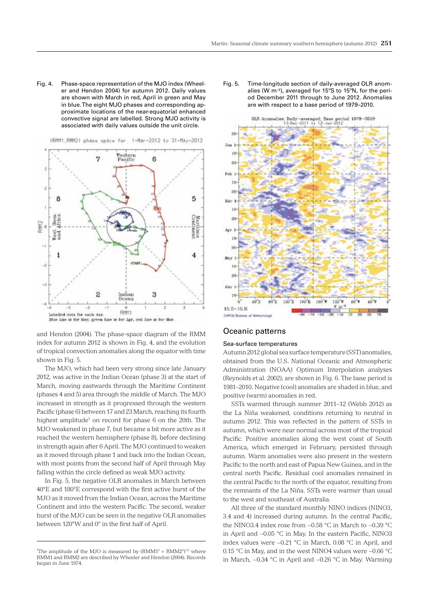Fig. 4. Phase-space representation of the MJO index (Wheeler and Hendon 2004) for autumn 2012. Daily values are shown with March in red, April in green and May in blue. The eight MJO phases and corresponding approximate locations of the near-equatorial enhanced convective signal are labelled. Strong MJO activity is associated with daily values outside the unit circle.



and Hendon (2004). The phase-space diagram of the RMM index for autumn 2012 is shown in Fig. 4, and the evolution of tropical convection anomalies along the equator with time shown in Fig. 5.

The MJO, which had been very strong since late January 2012, was active in the Indian Ocean (phase 3) at the start of March, moving eastwards through the Maritime Continent (phases 4 and 5) area through the middle of March. The MJO increased in strength as it progressed through the western Pacific (phase 6) between 17 and 23 March, reaching its fourth highest amplitude<sup>7</sup> on record for phase 6 on the 20th. The MJO weakened in phase 7, but became a bit more active as it reached the western hemisphere (phase 8), before declining in strength again after 6 April. The MJO continued to weaken as it moved through phase 1 and back into the Indian Ocean, with most points from the second half of April through May falling within the circle defined as weak MJO activity.

In Fig. 5, the negative OLR anomalies in March between 40°E and 180°E correspond with the first active burst of the MJO as it moved from the Indian Ocean, across the Maritime Continent and into the western Pacific. The second, weaker burst of the MJO can be seen in the negative OLR anomalies between 120°W and 0° in the first half of April.

Fig. 5. Time-longitude section of daily-averaged OLR anomalies (W m–2), averaged for 15ºS to 15ºN, for the period December 2011 through to June 2012. Anomalies are with respect to a base period of 1979–2010.



## Oceanic patterns

## Sea-surface temperatures

Autumn 2012 global sea surface temperature (SST) anomalies, obtained from the U.S. National Oceanic and Atmospheric Administration (NOAA) Optimum Interpolation analyses (Reynolds et al. 2002), are shown in Fig. 6. The base period is 1981–2010. Negative (cool) anomalies are shaded in blue, and positive (warm) anomalies in red.

SSTs warmed through summer 2011–12 (Webb 2012) as the La Niña weakened, conditions returning to neutral in autumn 2012. This was reflected in the pattern of SSTs in autumn, which were near normal across most of the tropical Pacific. Positive anomalies along the west coast of South America, which emerged in February, persisted through autumn. Warm anomalies were also present in the western Pacific to the north and east of Papua New Guinea, and in the central north Pacific. Residual cool anomalies remained in the central Pacific to the north of the equator, resulting from the remnants of the La Niña. SSTs were warmer than usual to the west and southeast of Australia.

All three of the standard monthly NINO indices (NINO3, 3.4 and 4) increased during autumn. In the central Pacific, the NINO3.4 index rose from −0.58 °C in March to −0.39 °C in April and −0.05 °C in May. In the eastern Pacific, NINO3 index values were −0.21 °C in March, 0.08 °C in April, and 0.15 °C in May, and in the west NINO4 values were −0.66 °C in March, −0.34 °C in April and −0.26 °C in May. Warming

The amplitude of the MJO is measured by  $(RMM1<sup>2</sup> + RMM2<sup>2</sup>)<sup>1/2</sup>$  where RMM1 and RMM2 are described by Wheeler and Hendon (2004). Records began in June 1974.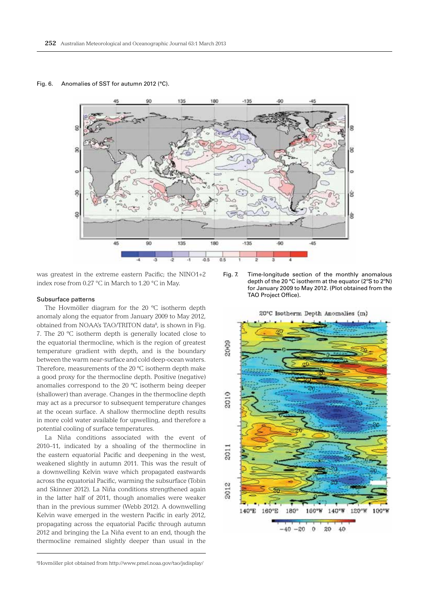## Fig. 6. Anomalies of SST for autumn 2012 (°C).



was greatest in the extreme eastern Pacific; the NINO1+2 index rose from 0.27 °C in March to 1.20 °C in May.

#### Subsurface patterns

The Hovmöller diagram for the 20 ºC isotherm depth anomaly along the equator from January 2009 to May 2012, obtained from NOAA's TAO/TRITON data<sup>8</sup>, is shown in Fig. 7. The 20 ºC isotherm depth is generally located close to the equatorial thermocline, which is the region of greatest temperature gradient with depth, and is the boundary between the warm near-surface and cold deep-ocean waters. Therefore, measurements of the 20 ºC isotherm depth make a good proxy for the thermocline depth. Positive (negative) anomalies correspond to the 20 ºC isotherm being deeper (shallower) than average. Changes in the thermocline depth may act as a precursor to subsequent temperature changes at the ocean surface. A shallow thermocline depth results in more cold water available for upwelling, and therefore a potential cooling of surface temperatures.

La Niña conditions associated with the event of 2010–11, indicated by a shoaling of the thermocline in the eastern equatorial Pacific and deepening in the west, weakened slightly in autumn 2011. This was the result of a downwelling Kelvin wave which propagated eastwards across the equatorial Pacific, warming the subsurface (Tobin and Skinner 2012). La Niña conditions strengthened again in the latter half of 2011, though anomalies were weaker than in the previous summer (Webb 2012). A downwelling Kelvin wave emerged in the western Pacific in early 2012, propagating across the equatorial Pacific through autumn 2012 and bringing the La Niña event to an end, though the thermocline remained slightly deeper than usual in the

Fig. 7. Time-longitude section of the monthly anomalous depth of the 20 °C isotherm at the equator (2ºS to 2ºN) for January 2009 to May 2012. (Plot obtained from the TAO Project Office).



<sup>8</sup> Hovmöller plot obtained from http://www.pmel.noaa.gov/tao/jsdisplay/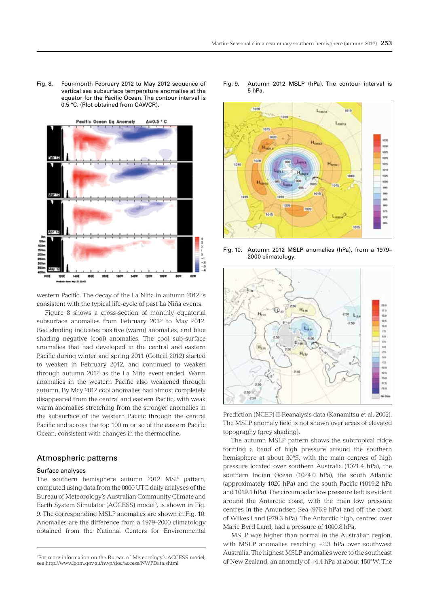Fig. 8. Four-month February 2012 to May 2012 sequence of vertical sea subsurface temperature anomalies at the equator for the Pacific Ocean. The contour interval is 0.5 °C. (Plot obtained from CAWCR).



western Pacific. The decay of the La Niña in autumn 2012 is consistent with the typical life-cycle of past La Niña events.

Figure 8 shows a cross-section of monthly equatorial subsurface anomalies from February 2012 to May 2012. Red shading indicates positive (warm) anomalies, and blue shading negative (cool) anomalies. The cool sub-surface anomalies that had developed in the central and eastern Pacific during winter and spring 2011 (Cottrill 2012) started to weaken in February 2012, and continued to weaken through autumn 2012 as the La Niña event ended. Warm anomalies in the western Pacific also weakened through autumn. By May 2012 cool anomalies had almost completely disappeared from the central and eastern Pacific, with weak warm anomalies stretching from the stronger anomalies in the subsurface of the western Pacific through the central Pacific and across the top 100 m or so of the eastern Pacific Ocean, consistent with changes in the thermocline.

# Atmospheric patterns

## Surface analyses

The southern hemisphere autumn 2012 MSP pattern, computed using data from the 0000 UTC daily analyses of the Bureau of Meteorology's Australian Community Climate and Earth System Simulator (ACCESS) model<sup>9</sup>, is shown in Fig. 9. The corresponding MSLP anomalies are shown in Fig. 10. Anomalies are the difference from a 1979–2000 climatology obtained from the National Centers for Environmental

Fig. 9. Autumn 2012 MSLP (hPa). The contour interval is 5 hPa.



Fig. 10. Autumn 2012 MSLP anomalies (hPa), from a 1979– 2000 climatology.



Prediction (NCEP) II Reanalysis data (Kanamitsu et al. 2002). The MSLP anomaly field is not shown over areas of elevated topography (grey shading).

The autumn MSLP pattern shows the subtropical ridge forming a band of high pressure around the southern hemisphere at about 30°S, with the main centres of high pressure located over southern Australia (1021.4 hPa), the southern Indian Ocean (1024.0 hPa), the south Atlantic (approximately 1020 hPa) and the south Pacific (1019.2 hPa and 1019.1 hPa). The circumpolar low pressure belt is evident around the Antarctic coast, with the main low pressure centres in the Amundsen Sea (976.9 hPa) and off the coast of Wilkes Land (979.3 hPa). The Antarctic high, centred over Marie Byrd Land, had a pressure of 1000.8 hPa.

MSLP was higher than normal in the Australian region, with MSLP anomalies reaching +2.3 hPa over southwest Australia. The highest MSLP anomalies were to the southeast of New Zealand, an anomaly of +4.4 hPa at about 150°W. The

<sup>9</sup> For more information on the Bureau of Meteorology's ACCESS model, see http://www.bom.gov.au/nwp/doc/access/NWPData.shtml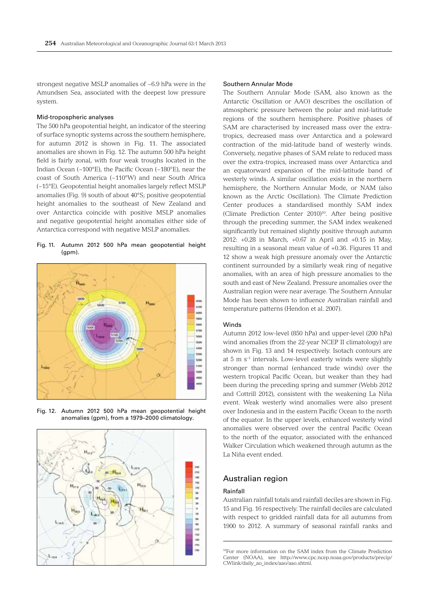strongest negative MSLP anomalies of −6.9 hPa were in the Amundsen Sea, associated with the deepest low pressure system.

#### Mid-tropospheric analyses

The 500 hPa geopotential height, an indicator of the steering of surface synoptic systems across the southern hemisphere, for autumn 2012 is shown in Fig. 11. The associated anomalies are shown in Fig. 12. The autumn 500 hPa height field is fairly zonal, with four weak troughs located in the Indian Ocean (~100°E), the Pacific Ocean (~180°E), near the coast of South America (~110°W) and near South Africa (~15°E). Geopotential height anomalies largely reflect MSLP anomalies (Fig. 9) south of about 40°S; positive geopotential height anomalies to the southeast of New Zealand and over Antarctica coincide with positive MSLP anomalies and negative geopotential height anomalies either side of Antarctica correspond with negative MSLP anomalies.

Fig. 11. Autumn 2012 500 hPa mean geopotential height (gpm).



Fig. 12. Autumn 2012 500 hPa mean geopotential height anomalies (gpm), from a 1979–2000 climatology.



#### Southern Annular Mode

The Southern Annular Mode (SAM, also known as the Antarctic Oscillation or AAO) describes the oscillation of atmospheric pressure between the polar and mid-latitude regions of the southern hemisphere. Positive phases of SAM are characterised by increased mass over the extratropics, decreased mass over Antarctica and a poleward contraction of the mid-latitude band of westerly winds. Conversely, negative phases of SAM relate to reduced mass over the extra-tropics, increased mass over Antarctica and an equatorward expansion of the mid-latitude band of westerly winds. A similar oscillation exists in the northern hemisphere, the Northern Annular Mode, or NAM (also known as the Arctic Oscillation). The Climate Prediction Center produces a standardised monthly SAM index (Climate Prediction Center 2010)10. After being positive through the preceding summer, the SAM index weakened significantly but remained slightly positive through autumn 2012: +0.28 in March, +0.67 in April and +0.15 in May, resulting in a seasonal mean value of +0.36. Figures 11 and 12 show a weak high pressure anomaly over the Antarctic continent surrounded by a similarly weak ring of negative anomalies, with an area of high pressure anomalies to the south and east of New Zealand. Pressure anomalies over the Australian region were near average. The Southern Annular Mode has been shown to influence Australian rainfall and temperature patterns (Hendon et al. 2007).

#### Winds

Autumn 2012 low-level (850 hPa) and upper-level (200 hPa) wind anomalies (from the 22-year NCEP II climatology) are shown in Fig. 13 and 14 respectively. Isotach contours are at 5 m s–1 intervals. Low-level easterly winds were slightly stronger than normal (enhanced trade winds) over the western tropical Pacific Ocean, but weaker than they had been during the preceding spring and summer (Webb 2012 and Cottrill 2012), consistent with the weakening La Niña event. Weak westerly wind anomalies were also present over Indonesia and in the eastern Pacific Ocean to the north of the equator. In the upper levels, enhanced westerly wind anomalies were observed over the central Pacific Ocean to the north of the equator, associated with the enhanced Walker Circulation which weakened through autumn as the La Niña event ended.

# Australian region

#### Rainfall

Australian rainfall totals and rainfall deciles are shown in Fig. 15 and Fig. 16 respectively. The rainfall deciles are calculated with respect to gridded rainfall data for all autumns from 1900 to 2012. A summary of seasonal rainfall ranks and

<sup>10</sup>For more information on the SAM index from the Climate Prediction Center (NOAA), see http://www.cpc.ncep.noaa.gov/products/precip/ CWlink/daily\_ao\_index/aao/aao.shtml.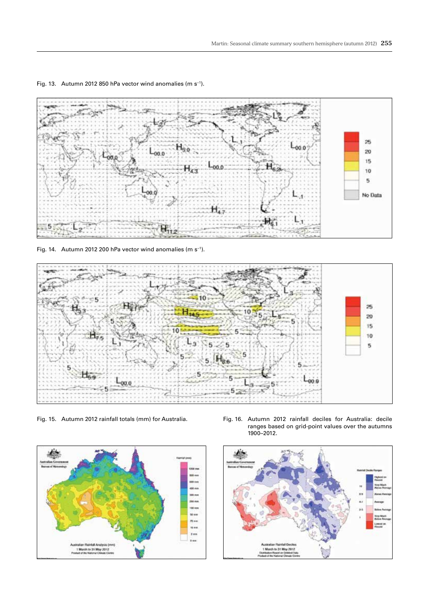

Fig. 13. Autumn 2012 850 hPa vector wind anomalies (m s−1).

Fig. 14. Autumn 2012 200 hPa vector wind anomalies (m s−1).





Fig. 15. Autumn 2012 rainfall totals (mm) for Australia. Fig. 16. Autumn 2012 rainfall deciles for Australia: decile ranges based on grid-point values over the autumns 1900–2012.

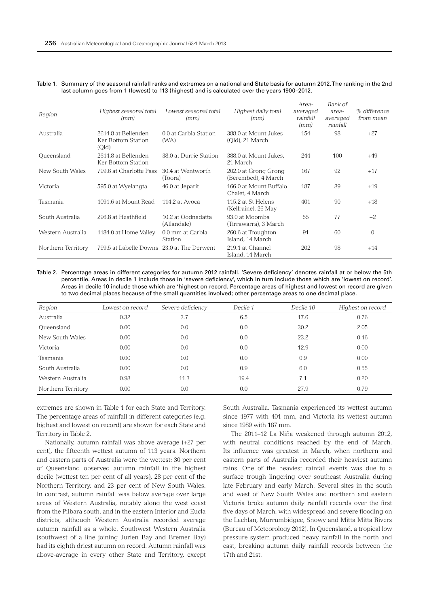| Region             | Highest seasonal total<br>(mm)                     | Lowest seasonal total<br>(mm)     | Highest daily total<br>(mm)                 | Area-<br>averaged<br>rainfall<br>(mm) | Rank of<br>area-<br>averaged<br>rainfall | % difference<br>from mean |
|--------------------|----------------------------------------------------|-----------------------------------|---------------------------------------------|---------------------------------------|------------------------------------------|---------------------------|
| Australia          | 2614.8 at Bellenden<br>Ker Bottom Station<br>(Qld) | 0.0 at Carbla Station<br>(WA)     | 388.0 at Mount Jukes<br>(Qld), 21 March     | 154                                   | 98                                       | $+27$                     |
| Queensland         | 2614.8 at Bellenden<br>Ker Bottom Station          | 38.0 at Durrie Station            | 388.0 at Mount Jukes,<br>21 March           | 244                                   | 100                                      | $+49$                     |
| New South Wales    | 799.6 at Charlotte Pass                            | 30.4 at Wentworth<br>(Toora)      | 202.0 at Grong Grong<br>(Berembed), 4 March | 167                                   | 92                                       | $+17$                     |
| Victoria           | 595.0 at Wyelangta                                 | 46.0 at Jeparit                   | 166.0 at Mount Buffalo<br>Chalet, 4 March   | 187                                   | 89                                       | $+19$                     |
| Tasmania           | 1091.6 at Mount Read                               | 114.2 at Avoca                    | 115.2 at St Helens<br>(Kellraine), 26 May   | 401                                   | 90                                       | $+18$                     |
| South Australia    | 296.8 at Heathfield                                | 10.2 at Oodnadatta<br>(Allandale) | 93.0 at Moomba<br>(Tirrawarra), 3 March     | 55                                    | 77                                       | $-2$                      |
| Western Australia  | 1184.0 at Home Valley                              | 0.0 mm at Carbla<br>Station       | 260.6 at Troughton<br>Island, 14 March      | 91                                    | 60                                       | $\overline{0}$            |
| Northern Territory | 799.5 at Labelle Downs                             | 23.0 at The Derwent               | 219.1 at Channel<br>Island, 14 March        | 202                                   | 98                                       | $+14$                     |

Table 1. Summary of the seasonal rainfall ranks and extremes on a national and State basis for autumn 2012. The ranking in the 2nd last column goes from 1 (lowest) to 113 (highest) and is calculated over the years 1900–2012.

Table 2. Percentage areas in different categories for autumn 2012 rainfall. 'Severe deficiency' denotes rainfall at or below the 5th percentile. Areas in decile 1 include those in 'severe deficiency', which in turn include those which are 'lowest on record'. Areas in decile 10 include those which are 'highest on record. Percentage areas of highest and lowest on record are given to two decimal places because of the small quantities involved; other percentage areas to one decimal place.

| Region             | Lowest on record | Severe deficiency | Decile 1 | Decile 10 | Highest on record |
|--------------------|------------------|-------------------|----------|-----------|-------------------|
| Australia          | 0.32             | 3.7               | 6.5      | 17.6      | 0.76              |
| Queensland         | 0.00             | 0.0               | 0.0      | 30.2      | 2.05              |
| New South Wales    | 0.00             | 0.0               | 0.0      | 23.2      | 0.16              |
| Victoria           | 0.00             | 0.0               | 0.0      | 12.9      | 0.00              |
| Tasmania           | 0.00             | 0.0               | 0.0      | 0.9       | 0.00              |
| South Australia    | 0.00             | 0.0               | 0.9      | 6.0       | 0.55              |
| Western Australia  | 0.98             | 11.3              | 19.4     | 7.1       | 0.20              |
| Northern Territory | 0.00             | 0.0               | 0.0      | 27.9      | 0.79              |

extremes are shown in Table 1 for each State and Territory. The percentage areas of rainfall in different categories (e.g. highest and lowest on record) are shown for each State and Territory in Table 2.

Nationally, autumn rainfall was above average (+27 per cent), the fifteenth wettest autumn of 113 years. Northern and eastern parts of Australia were the wettest: 30 per cent of Queensland observed autumn rainfall in the highest decile (wettest ten per cent of all years), 28 per cent of the Northern Territory, and 23 per cent of New South Wales. In contrast, autumn rainfall was below average over large areas of Western Australia, notably along the west coast from the Pilbara south, and in the eastern Interior and Eucla districts, although Western Australia recorded average autumn rainfall as a whole. Southwest Western Australia (southwest of a line joining Jurien Bay and Bremer Bay) had its eighth driest autumn on record. Autumn rainfall was above-average in every other State and Territory, except

South Australia. Tasmania experienced its wettest autumn since 1977 with 401 mm, and Victoria its wettest autumn since 1989 with 187 mm.

The 2011–12 La Niña weakened through autumn 2012, with neutral conditions reached by the end of March. Its influence was greatest in March, when northern and eastern parts of Australia recorded their heaviest autumn rains. One of the heaviest rainfall events was due to a surface trough lingering over southeast Australia during late February and early March. Several sites in the south and west of New South Wales and northern and eastern Victoria broke autumn daily rainfall records over the first five days of March, with widespread and severe flooding on the Lachlan, Murrumbidgee, Snowy and Mitta Mitta Rivers (Bureau of Meteorology 2012). In Queensland, a tropical low pressure system produced heavy rainfall in the north and east, breaking autumn daily rainfall records between the 17th and 21st.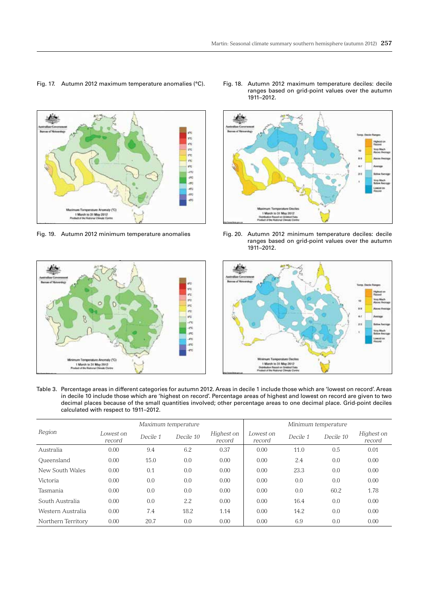# Fig. 17. Autumn 2012 maximum temperature anomalies (°C). Fig. 18. Autumn 2012 maximum temperature deciles: decile



Fig. 19. Autumn 2012 minimum temperature anomalies Fig. 20. Autumn 2012 minimum temperature deciles: decile



ranges based on grid-point values over the autumn 1911–2012.



ranges based on grid-point values over the autumn 1911–2012.



Table 3. Percentage areas in different categories for autumn 2012. Areas in decile 1 include those which are 'lowest on record'. Areas in decile 10 include those which are 'highest on record'. Percentage areas of highest and lowest on record are given to two decimal places because of the small quantities involved; other percentage areas to one decimal place. Grid-point deciles calculated with respect to 1911–2012.

|                    | Maximum temperature |          |           |                      | Minimum temperature |          |           |                      |
|--------------------|---------------------|----------|-----------|----------------------|---------------------|----------|-----------|----------------------|
| Region             | Lowest on<br>record | Decile 1 | Decile 10 | Highest on<br>record | Lowest on<br>record | Decile 1 | Decile 10 | Highest on<br>record |
| Australia          | 0.00                | 9.4      | 6.2       | 0.37                 | 0.00                | 11.0     | 0.5       | 0.01                 |
| Oueensland         | 0.00                | 15.0     | 0.0       | 0.00                 | 0.00                | 2.4      | 0.0       | 0.00                 |
| New South Wales    | 0.00                | 0.1      | 0.0       | 0.00                 | 0.00                | 23.3     | 0.0       | 0.00                 |
| Victoria           | 0.00                | 0.0      | 0.0       | 0.00                 | 0.00                | 0.0      | 0.0       | 0.00                 |
| Tasmania           | 0.00                | 0.0      | 0.0       | 0.00                 | 0.00                | 0.0      | 60.2      | 1.78                 |
| South Australia    | 0.00                | 0.0      | 2.2       | 0.00                 | 0.00                | 16.4     | 0.0       | 0.00                 |
| Western Australia  | 0.00                | 7.4      | 18.2      | 1.14                 | 0.00                | 14.2     | 0.0       | 0.00                 |
| Northern Territory | 0.00                | 20.7     | 0.0       | 0.00                 | 0.00                | 6.9      | 0.0       | 0.00                 |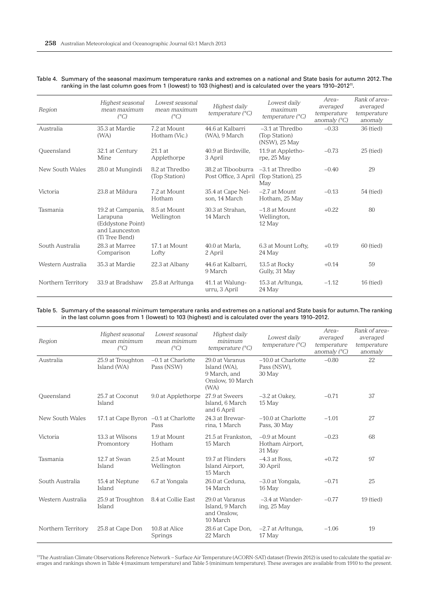| Region             | Highest seasonal<br>mean maximum<br>$(^{\circ}C)$                                      | Lowest seasonal<br>mean maximum<br>$(^{\circ}C)$ | Highest daily<br>temperature $(^{\circ}C)$ | Lowest daily<br>maximum<br>temperature $(^{\circ}C)$ | Area-<br>averaged<br>temperature<br>anomaly $(^{\circ}C)$ | Rank of area-<br>averaged<br>temperature<br>anomaly |
|--------------------|----------------------------------------------------------------------------------------|--------------------------------------------------|--------------------------------------------|------------------------------------------------------|-----------------------------------------------------------|-----------------------------------------------------|
| Australia          | 35.3 at Mardie<br>(WA)                                                                 | 7.2 at Mount<br>Hotham (Vic.)                    | 44.6 at Kalbarri<br>(WA), 9 March          | $-3.1$ at Thredbo<br>(Top Station)<br>(NSW), 25 May  | $-0.33$                                                   | 36 (tied)                                           |
| Oueensland         | 32.1 at Century<br>Mine                                                                | $21.1$ at<br>Applethorpe                         | 40.9 at Birdsville.<br>3 April             | 11.9 at Appletho-<br>rpe, 25 May                     | $-0.73$                                                   | $25$ (tied)                                         |
| New South Wales    | 28.0 at Mungindi                                                                       | 8.2 at Thredbo<br>(Top Station)                  | 38.2 at Tibooburra<br>Post Office, 3 April | $-3.1$ at Thredbo<br>(Top Station), 25<br>May        | $-0.40$                                                   | 29                                                  |
| Victoria           | 23.8 at Mildura                                                                        | 7.2 at Mount<br>Hotham                           | 35.4 at Cape Nel-<br>son. 14 March         | $-2.7$ at Mount<br>Hotham, 25 May                    | $-0.13$                                                   | 54 (tied)                                           |
| Tasmania           | 19.2 at Campania,<br>Larapuna<br>(Eddystone Point)<br>and Launceston<br>(Ti Tree Bend) | 8.5 at Mount<br>Wellington                       | 30.3 at Strahan.<br>14 March               | $-1.8$ at Mount<br>Wellington,<br>12 May             | $+0.22$                                                   | 80                                                  |
| South Australia    | 28.3 at Marree<br>Comparison                                                           | 17.1 at Mount<br>Lofty                           | 40.0 at Marla.<br>2 April                  | 6.3 at Mount Lofty,<br>24 May                        | $+0.19$                                                   | 60 (tied)                                           |
| Western Australia  | 35.3 at Mardie                                                                         | 22.3 at Albany                                   | 44.6 at Kalbarri.<br>9 March               | 13.5 at Rocky<br>Gully, 31 May                       | $+0.14$                                                   | 59                                                  |
| Northern Territory | 33.9 at Bradshaw                                                                       | 25.8 at Arltunga                                 | 41.1 at Walung-<br>urru, 3 April           | 15.3 at Arltunga,<br>24 May                          | $-1.12$                                                   | $16$ (tied)                                         |

#### Table 4. Summary of the seasonal maximum temperature ranks and extremes on a national and State basis for autumn 2012. The ranking in the last column goes from 1 (lowest) to 103 (highest) and is calculated over the years 1910–201211.

Table 5. Summary of the seasonal minimum temperature ranks and extremes on a national and State basis for autumn. The ranking in the last column goes from 1 (lowest) to 103 (highest) and is calculated over the years 1910–2012.

| Region             | Highest seasonal<br>mean minimum<br>$(^{\circ}C)$ | Lowest seasonal<br>mean minimum<br>$(^{\circ}C)$ | Highest daily<br>minimum<br>temperature $(^{\circ}C)$                       | Lowest daily<br>temperature $(^{\circ}C)$     | Area-<br>averaged<br>temperature<br>anomaly $(^{\circ}C)$ | Rank of area-<br>averaged<br>temperature<br>anomaly |
|--------------------|---------------------------------------------------|--------------------------------------------------|-----------------------------------------------------------------------------|-----------------------------------------------|-----------------------------------------------------------|-----------------------------------------------------|
| Australia          | 25.9 at Troughton<br>Island (WA)                  | $-0.1$ at Charlotte<br>Pass (NSW)                | 29.0 at Varanus<br>Island (WA),<br>9 March, and<br>Onslow, 10 March<br>(WA) | $-10.0$ at Charlotte<br>Pass (NSW),<br>30 May | $-0.80$                                                   | 22                                                  |
| Queensland         | 25.7 at Coconut<br>Island                         | 9.0 at Applethorpe                               | 27.9 at Sweers<br>Island, 6 March<br>and 6 April                            | $-3.2$ at Oakev,<br>15 May                    | $-0.71$                                                   | 37                                                  |
| New South Wales    | 17.1 at Cape Byron -0.1 at Charlotte              | Pass                                             | 24.3 at Brewar-<br>rina, 1 March                                            | $-10.0$ at Charlotte<br>Pass, 30 May          | $-1.01$                                                   | 27                                                  |
| Victoria           | 13.3 at Wilsons<br>Promontory                     | 1.9 at Mount<br>Hotham                           | 21.5 at Frankston.<br>15 March                                              | $-0.9$ at Mount<br>Hotham Airport,<br>31 May  | $-0.23$                                                   | 68                                                  |
| Tasmania           | 12.7 at Swan<br>Island                            | 2.5 at Mount<br>Wellington                       | 19.7 at Flinders<br>Island Airport,<br>15 March                             | $-4.3$ at Ross.<br>30 April                   | $+0.72$                                                   | 97                                                  |
| South Australia    | 15.4 at Neptune<br>Island                         | 6.7 at Yongala                                   | 26.0 at Ceduna.<br>14 March                                                 | -3.0 at Yongala,<br>16 May                    | $-0.71$                                                   | 25                                                  |
| Western Australia  | 25.9 at Troughton<br>Island                       | 8.4 at Collie East                               | 29.0 at Varanus<br>Island, 9 March<br>and Onslow,<br>10 March               | $-3.4$ at Wander-<br>ing, 25 May              | $-0.77$                                                   | $19$ (tied)                                         |
| Northern Territory | 25.8 at Cape Don                                  | 10.8 at Alice<br>Springs                         | 28.6 at Cape Don,<br>22 March                                               | -2.7 at Arltunga,<br>17 May                   | $-1.06$                                                   | 19                                                  |

11The Australian Climate Observations Reference Network – Surface Air Temperature (ACORN-SAT) dataset (Trewin 2012) is used to calculate the spatial averages and rankings shown in Table 4 (maximum temperature) and Table 5 (minimum temperature). These averages are available from 1910 to the present.